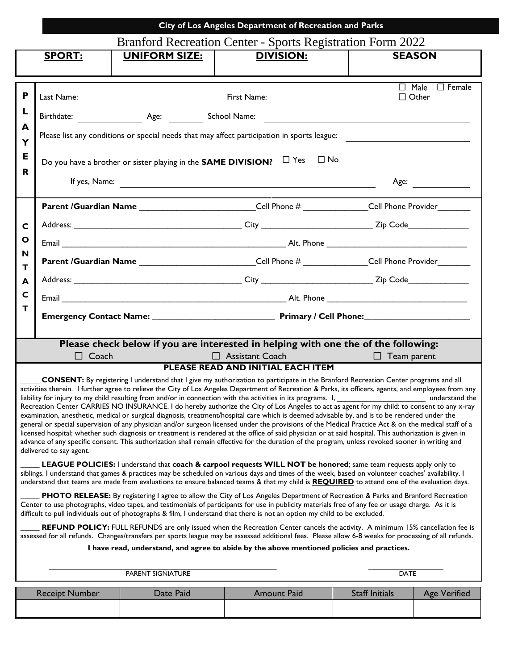|                                                                                                                                                                                                                                                                                                                                                                                      |                                                            |                      | <b>City of Los Angeles Department of Recreation and Parks</b>                                                                                                                                                                                                                                                                                                                                                                                                                                                                                                                                                                                                                                                                                                                                                                                                                                                                                                                                                                                                      |                       |                                           |  |  |  |
|--------------------------------------------------------------------------------------------------------------------------------------------------------------------------------------------------------------------------------------------------------------------------------------------------------------------------------------------------------------------------------------|------------------------------------------------------------|----------------------|--------------------------------------------------------------------------------------------------------------------------------------------------------------------------------------------------------------------------------------------------------------------------------------------------------------------------------------------------------------------------------------------------------------------------------------------------------------------------------------------------------------------------------------------------------------------------------------------------------------------------------------------------------------------------------------------------------------------------------------------------------------------------------------------------------------------------------------------------------------------------------------------------------------------------------------------------------------------------------------------------------------------------------------------------------------------|-----------------------|-------------------------------------------|--|--|--|
|                                                                                                                                                                                                                                                                                                                                                                                      | Branford Recreation Center - Sports Registration Form 2022 |                      |                                                                                                                                                                                                                                                                                                                                                                                                                                                                                                                                                                                                                                                                                                                                                                                                                                                                                                                                                                                                                                                                    |                       |                                           |  |  |  |
|                                                                                                                                                                                                                                                                                                                                                                                      | <b>SPORT:</b>                                              | <b>UNIFORM SIZE:</b> | <b>DIVISION:</b>                                                                                                                                                                                                                                                                                                                                                                                                                                                                                                                                                                                                                                                                                                                                                                                                                                                                                                                                                                                                                                                   |                       | <b>SEASON</b>                             |  |  |  |
|                                                                                                                                                                                                                                                                                                                                                                                      |                                                            |                      |                                                                                                                                                                                                                                                                                                                                                                                                                                                                                                                                                                                                                                                                                                                                                                                                                                                                                                                                                                                                                                                                    |                       |                                           |  |  |  |
| P                                                                                                                                                                                                                                                                                                                                                                                    |                                                            |                      |                                                                                                                                                                                                                                                                                                                                                                                                                                                                                                                                                                                                                                                                                                                                                                                                                                                                                                                                                                                                                                                                    |                       | $\Box$ Male $\Box$ Female<br>$\Box$ Other |  |  |  |
| L                                                                                                                                                                                                                                                                                                                                                                                    |                                                            |                      | Birthdate: <u>Age:</u> Age: School Name: Channeled and an annual setting and a setting and a setting and a setting and a setting and a setting and a setting and a setting and a setting and a setting and a setting and a setting                                                                                                                                                                                                                                                                                                                                                                                                                                                                                                                                                                                                                                                                                                                                                                                                                                 |                       |                                           |  |  |  |
| А<br>Y                                                                                                                                                                                                                                                                                                                                                                               |                                                            |                      | Please list any conditions or special needs that may affect participation in sports league:                                                                                                                                                                                                                                                                                                                                                                                                                                                                                                                                                                                                                                                                                                                                                                                                                                                                                                                                                                        |                       |                                           |  |  |  |
| Е<br>R                                                                                                                                                                                                                                                                                                                                                                               |                                                            |                      | Do you have a brother or sister playing in the <b>SAME DIVISION?</b> $\Box$ Yes $\Box$ No                                                                                                                                                                                                                                                                                                                                                                                                                                                                                                                                                                                                                                                                                                                                                                                                                                                                                                                                                                          |                       |                                           |  |  |  |
|                                                                                                                                                                                                                                                                                                                                                                                      |                                                            |                      |                                                                                                                                                                                                                                                                                                                                                                                                                                                                                                                                                                                                                                                                                                                                                                                                                                                                                                                                                                                                                                                                    |                       | Age: _______________                      |  |  |  |
|                                                                                                                                                                                                                                                                                                                                                                                      |                                                            |                      | Parent /Guardian Name ___________________________Cell Phone # ______________Cell Phone Provider _________                                                                                                                                                                                                                                                                                                                                                                                                                                                                                                                                                                                                                                                                                                                                                                                                                                                                                                                                                          |                       |                                           |  |  |  |
| C                                                                                                                                                                                                                                                                                                                                                                                    |                                                            |                      |                                                                                                                                                                                                                                                                                                                                                                                                                                                                                                                                                                                                                                                                                                                                                                                                                                                                                                                                                                                                                                                                    |                       |                                           |  |  |  |
| O                                                                                                                                                                                                                                                                                                                                                                                    |                                                            |                      |                                                                                                                                                                                                                                                                                                                                                                                                                                                                                                                                                                                                                                                                                                                                                                                                                                                                                                                                                                                                                                                                    |                       |                                           |  |  |  |
| N<br>Т                                                                                                                                                                                                                                                                                                                                                                               |                                                            |                      | Parent /Guardian Name __________________________Cell Phone # _____________Cell Phone Provider _______                                                                                                                                                                                                                                                                                                                                                                                                                                                                                                                                                                                                                                                                                                                                                                                                                                                                                                                                                              |                       |                                           |  |  |  |
| A                                                                                                                                                                                                                                                                                                                                                                                    |                                                            |                      |                                                                                                                                                                                                                                                                                                                                                                                                                                                                                                                                                                                                                                                                                                                                                                                                                                                                                                                                                                                                                                                                    |                       |                                           |  |  |  |
| C                                                                                                                                                                                                                                                                                                                                                                                    |                                                            |                      |                                                                                                                                                                                                                                                                                                                                                                                                                                                                                                                                                                                                                                                                                                                                                                                                                                                                                                                                                                                                                                                                    |                       |                                           |  |  |  |
| т                                                                                                                                                                                                                                                                                                                                                                                    |                                                            |                      |                                                                                                                                                                                                                                                                                                                                                                                                                                                                                                                                                                                                                                                                                                                                                                                                                                                                                                                                                                                                                                                                    |                       |                                           |  |  |  |
|                                                                                                                                                                                                                                                                                                                                                                                      |                                                            |                      |                                                                                                                                                                                                                                                                                                                                                                                                                                                                                                                                                                                                                                                                                                                                                                                                                                                                                                                                                                                                                                                                    |                       |                                           |  |  |  |
|                                                                                                                                                                                                                                                                                                                                                                                      |                                                            |                      | Please check below if you are interested in helping with one the of the following:                                                                                                                                                                                                                                                                                                                                                                                                                                                                                                                                                                                                                                                                                                                                                                                                                                                                                                                                                                                 |                       |                                           |  |  |  |
|                                                                                                                                                                                                                                                                                                                                                                                      | Coach<br>$\Box$                                            |                      | $\Box$ Assistant Coach<br>PLEASE READ AND INITIAL EACH ITEM                                                                                                                                                                                                                                                                                                                                                                                                                                                                                                                                                                                                                                                                                                                                                                                                                                                                                                                                                                                                        | $\Box$ Team parent    |                                           |  |  |  |
|                                                                                                                                                                                                                                                                                                                                                                                      | delivered to say agent.                                    |                      | CONSENT: By registering I understand that I give my authorization to participate in the Branford Recreation Center programs and all<br>activities therein. I further agree to relieve the City of Los Angeles Department of Recreation & Parks, its officers, agents, and employees from any<br>Recreation Center CARRIES NO INSURANCE. I do hereby authorize the City of Los Angeles to act as agent for my child: to consent to any x-ray<br>examination, anesthetic, medical or surgical diagnosis, treatment/hospital care which is deemed advisable by, and is to be rendered under the<br>general or special supervision of any physician and/or surgeon licensed under the provisions of the Medical Practice Act & on the medical staff of a<br>licensed hospital; whether such diagnosis or treatment is rendered at the office of said physician or at said hospital. This authorization is given in<br>advance of any specific consent. This authorization shall remain effective for the duration of the program, unless revoked sooner in writing and |                       |                                           |  |  |  |
|                                                                                                                                                                                                                                                                                                                                                                                      |                                                            |                      | LEAGUE POLICIES: I understand that coach & carpool requests WILL NOT be honored; same team requests apply only to<br>siblings. I understand that games & practices may be scheduled on various days and times of the week, based on volunteer coaches' availability. I<br>understand that teams are made from evaluations to ensure balanced teams & that my child is REQUIRED to attend one of the evaluation days.                                                                                                                                                                                                                                                                                                                                                                                                                                                                                                                                                                                                                                               |                       |                                           |  |  |  |
|                                                                                                                                                                                                                                                                                                                                                                                      |                                                            |                      | PHOTO RELEASE: By registering I agree to allow the City of Los Angeles Department of Recreation & Parks and Branford Recreation<br>Center to use photographs, video tapes, and testimonials of participants for use in publicity materials free of any fee or usage charge. As it is<br>difficult to pull individuals out of photographs & film, I understand that there is not an option my child to be excluded.                                                                                                                                                                                                                                                                                                                                                                                                                                                                                                                                                                                                                                                 |                       |                                           |  |  |  |
| REFUND POLICY: FULL REFUNDS are only issued when the Recreation Center cancels the activity. A minimum 15% cancellation fee is<br>assessed for all refunds. Changes/transfers per sports league may be assessed additional fees. Please allow 6-8 weeks for processing of all refunds.<br>I have read, understand, and agree to abide by the above mentioned policies and practices. |                                                            |                      |                                                                                                                                                                                                                                                                                                                                                                                                                                                                                                                                                                                                                                                                                                                                                                                                                                                                                                                                                                                                                                                                    |                       |                                           |  |  |  |
| <b>PARENT SIGNIATURE</b><br><b>DATE</b>                                                                                                                                                                                                                                                                                                                                              |                                                            |                      |                                                                                                                                                                                                                                                                                                                                                                                                                                                                                                                                                                                                                                                                                                                                                                                                                                                                                                                                                                                                                                                                    |                       |                                           |  |  |  |
|                                                                                                                                                                                                                                                                                                                                                                                      | <b>Receipt Number</b>                                      | Date Paid            | <b>Amount Paid</b>                                                                                                                                                                                                                                                                                                                                                                                                                                                                                                                                                                                                                                                                                                                                                                                                                                                                                                                                                                                                                                                 | <b>Staff Initials</b> | <b>Age Verified</b>                       |  |  |  |
|                                                                                                                                                                                                                                                                                                                                                                                      |                                                            |                      |                                                                                                                                                                                                                                                                                                                                                                                                                                                                                                                                                                                                                                                                                                                                                                                                                                                                                                                                                                                                                                                                    |                       |                                           |  |  |  |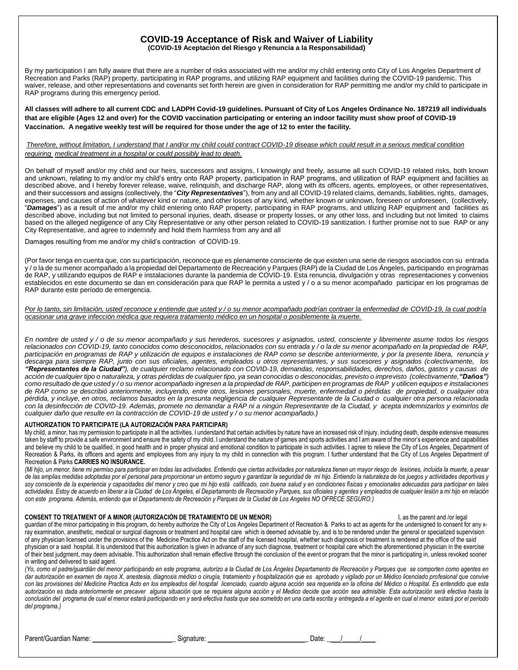# **COVID-19 Acceptance of Risk and Waiver of Liability (COVID-19 Aceptación del Riesgo y Renuncia a la Responsabilidad)**

By my participation I am fully aware that there are a number of risks associated with me and/or my child entering onto City of Los Angeles Department of Recreation and Parks (RAP) property, participating in RAP programs, and utilizing RAP equipment and facilities during the COVID-19 pandemic. This waiver, release, and other representations and covenants set forth herein are given in consideration for RAP permitting me and/or my child to participate in RAP programs during this emergency period.

# **All classes will adhere to all current CDC and LADPH Covid-19 guidelines. Pursuant of City of Los Angeles Ordinance No. 187219 all individuals that are eligible (Ages 12 and over) for the COVID vaccination participating or entering an indoor facility must show proof of COVID-19 Vaccination. A negative weekly test will be required for those under the age of 12 to enter the facility.**

## *Therefore, without limitation, I understand that I and/or my child could contract COVID-19 disease which could result in a serious medical condition requiring medical treatment in a hospital or could possibly lead to death.*

On behalf of myself and/or my child and our heirs, successors and assigns, I knowingly and freely, assume all such COVID-19 related risks, both known and unknown, relating to my and/or my child's entry onto RAP property, participation in RAP programs, and utilization of RAP equipment and facilities as described above, and I hereby forever release, waive, relinquish, and discharge RAP, along with its officers, agents, employees, or other representatives, and their successors and assigns (collectively, the "*City Representatives*"), from any and all COVID-19 related claims, demands, liabilities, rights, damages, expenses, and causes of action of whatever kind or nature, and other losses of any kind, whether known or unknown, foreseen or unforeseen, (collectively, "*Damages*") as a result of me and/or my child entering onto RAP property, participating in RAP programs, and utilizing RAP equipment and facilities as described above, including but not limited to personal injuries, death, disease or property losses, or any other loss, and including but not limited to claims based on the alleged negligence of any City Representative or any other person related to COVID-19 sanitization. I further promise not to sue RAP or any City Representative, and agree to indemnify and hold them harmless from any and all

Damages resulting from me and/or my child's contraction of COVID-19.

(Por favor tenga en cuenta que, con su participación, reconoce que es plenamente consciente de que existen una serie de riesgos asociados con su entrada y / o la de su menor acompañado a la propiedad del Departamento de Recreación y Parques (RAP) de la Ciudad de Los Ángeles, participando en programas de RAP, y utilizando equipos de RAP e instalaciones durante la pandemia de COVID-19. Esta renuncia, divulgación y otras representaciones y convenios establecidos en este documento se dan en consideración para que RAP le permita a usted y / o a su menor acompañado participar en los programas de RAP durante este período de emergencia.

### *Por lo tanto, sin limitación, usted reconoce y entiende que usted y / o su menor acompañado podrían contraer la enfermedad de COVID-19, la cual podría ocasionar una grave infección médica que requiera tratamiento médico en un hospital o posiblemente la muerte.*

*En nombre de usted y / o de su menor acompañado y sus herederos, sucesores y asignados, usted, consciente y libremente asume todos los riesgos relacionados con COVID-19, tanto conocidos como desconocidos, relacionados con su entrada y / o la de su menor acompañado en la propiedad de RAP, participación en programas de RAP y utilización de equipos e instalaciones de RAP como se describe anteriormente, y por la presente libera, renuncia y descarga para siempre RAP, junto con sus oficiales, agentes, empleados u otros representantes, y sus sucesores y asignados (colectivamente, los "Representantes de la Ciudad"), de cualquier reclamo relacionado con COVID-19, demandas, responsabilidades, derechos, daños, gastos y causas de acción de cualquier tipo o naturaleza, y otras pérdidas de cualquier tipo, ya sean conocidas o desconocidas, previsto o imprevisto (colectivamente,"Daños") como resultado de que usted y / o su menor acompañado ingresen a la propiedad de RAP, participen en programas de RAP y utilicen equipos e instalaciones de RAP como se describió anteriormente, incluyendo, entre otros, lesiones personales, muerte, enfermedad o pérdidas de propiedad, o cualquier otra pérdida, y incluye, en otros, reclamos basados en la presunta negligencia de cualquier Representante de la Ciudad o cualquier otra persona relacionada con la desinfección de COVID-19. Además, promete no demandar a RAP ni a ningún Representante de la Ciudad, y acepta indemnizarlos y eximirlos de cualquier daño que resulte en la contracción de COVID-19 de usted y / o su menor acompañado.)* 

#### **AUTHORIZATION TO PARTICIPATE (LA AUTORIZACIÓN PARA PARTICIPAR)**

My child, a minor, has my permission to participate in all the activities. I understand that certain activities by nature have an increased risk of injury, including death, despite extensive measures taken by staff to provide a safe environment and ensure the safety of my child. I understand the nature of games and sports activities and I am aware of the minor's experience and capabilities and believe my child to be qualified, in good health and in proper physical and emotional condition to participate in such activities. I agree to relieve the City of Los Angeles, Department of Recreation & Parks, its officers and agents and employees from any injury to my child in connection with this program. I further understand that the City of Los Angeles Department of Recreation & Parks **CARRIES NO INSURANCE.** 

*(Mi hijo, un menor, tiene mi permiso para participar en todas las actividades. Entiendo que ciertas actividades por naturaleza tienen un mayor riesgo de lesiones, incluida la muerte, a pesar de las amplias medidas adoptadas por el personal para proporcionar un entorno seguro y garantizar la seguridad de mi hijo. Entiendo la naturaleza de los juegos y actividades deportivas y*  soy consciente de la experiencia y capacidades del menor y creo que mi hijo está calificado, con buena salud y en condiciones físicas y emocionales adecuadas para participar en tales *actividades. Estoy de acuerdo en liberar a la Ciudad de Los Ángeles, el Departamento de Recreación y Parques, sus oficiales y agentes y empleados de cualquier lesión a mi hijo en relación con este programa. Además, entiendo que el Departamento de Recreación y Parques de la Ciudad de Los Angeles NO OFRECE SEGURO.)* 

## **CONSENT TO TREATMENT OF A MINOR (AUTORIZACIÓN DE TRATAMIENTO DE UN MENOR) I**, as the parent and /or legal

guardian of the minor participating in this program, do hereby authorize the City of Los Angeles Department of Recreation & Parks to act as agents for the undersigned to consent for any xray examination, anesthetic, medical or surgical diagnosis or treatment and hospital care which is deemed advisable by, and is to be rendered under the general or specialized supervision of any physician licensed under the provisions of the Medicine Practice Act on the staff of the licensed hospital, whether such diagnosis or treatment is rendered at the office of the said physician or a said hospital. It is understood that this authorization is given in advance of any such diagnose, treatment or hospital care which the aforementioned physician in the exercise of their best judgment, may deem advisable. This authorization shall remain effective through the conclusion of the event or program that the minor is participating in, unless revoked sooner in writing and delivered to said agent.

*(Yo, como el padre/guardián del menor participando en este programa, autorizo a la Ciudad de Los Ángeles Departamento de Recreación y Parques que se comporten como agentes en dar autorización en examen de rayos X, anestesia, diagnosis médico o cirugía, tratamiento y hospitalización que es aprobado y vigilado por un Médico licenciado profesional que convive con las provisiones del Medicine Practica Acto en los empleados del hospital licenciado, cuando alguna acción sea requerida en la oficina del Médico o Hospital. Es entendido que esta autorización es dada anteriormente en precaver alguna situación que se requiera alguna acción y el Medico decide que acción sea admisible. Esta autorización será efectiva hasta la conclusión del programa de cual el menor estará participando en y será efectiva hasta que sea sometido en una carta escrita y entregada a el agente en cual el menor estará por el periodo del programa.)* 

Parent/Guardian Name: \_\_\_\_\_\_\_\_\_\_\_\_\_\_\_\_\_\_\_\_\_\_\_\_\_\_\_\_\_\_\_\_\_\_\_Signature:

| Date: |  |
|-------|--|
|       |  |